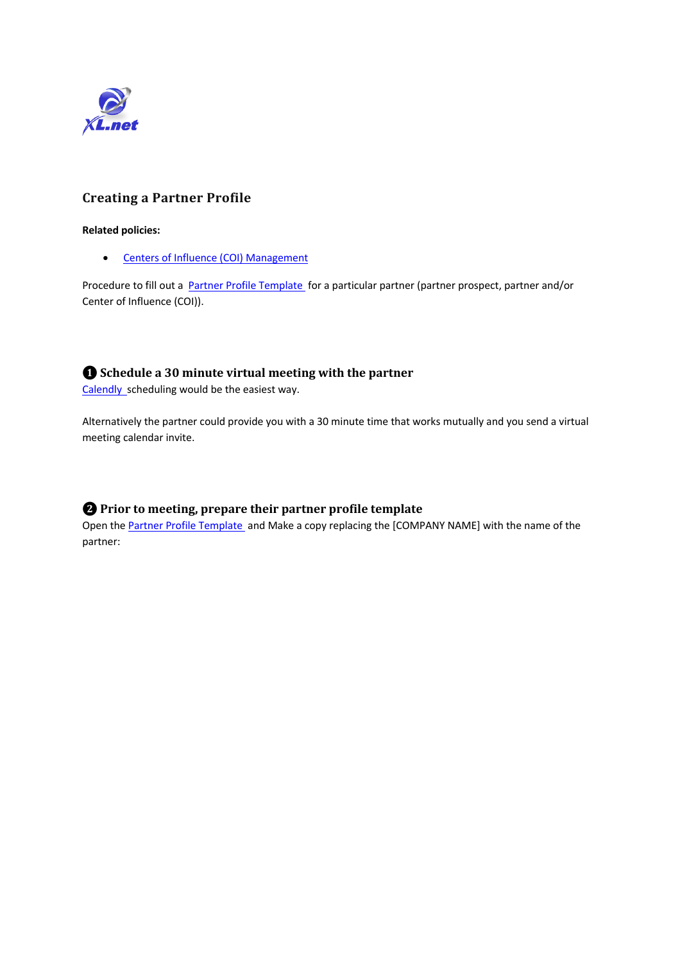

### **Creating a Partner Profile**

#### **Related policies:**

• Centers of Influence (COI) Management

Procedure to fill out a **Partner Profile Template** for a particular partner (partner prospect, partner and/or Center of Influence (COI)).

### **❶ Schedule a 30 minute virtual meeting with the partner**

Calendly scheduling would be the easiest way.

Alternatively the partner could provide you with a 30 minute time that works mutually and you send a virtual meeting calendar invite.

### $\bullet$  Prior to meeting, prepare their partner profile template

Open the Partner Profile Template and Make a copy replacing the [COMPANY NAME] with the name of the partner: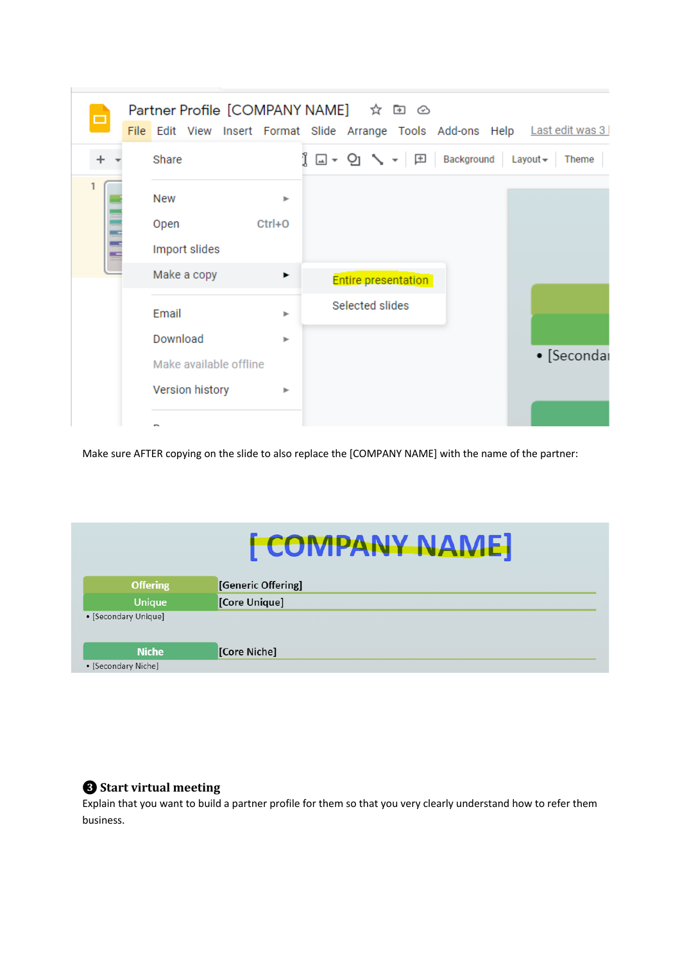| ▭ |                                           | Partner Profile [COMPANY NAME] ☆ 回 ②<br>File Edit View Insert Format Slide Arrange Tools Add-ons Help Lastedit was 3 |             |
|---|-------------------------------------------|----------------------------------------------------------------------------------------------------------------------|-------------|
|   | Share                                     | □▼ ⊙ ヽ ▼ 田 Background Layout ▼                                                                                       | Theme       |
|   | New<br>Open<br>Import slides              | ь<br>$Ctrl + O$                                                                                                      |             |
|   | Make a copy                               | Þ.<br><b>Entire presentation</b>                                                                                     |             |
|   | Email<br>Download                         | Selected slides<br>ь<br>ь                                                                                            |             |
|   | Make available offline<br>Version history | Þ                                                                                                                    | • [Secondar |
|   |                                           |                                                                                                                      |             |

Make sure AFTER copying on the slide to also replace the [COMPANY NAME] with the name of the partner:

## [COMPANY NAME] **Offering** [Generic Offering] Unique [Core Unique] • [Secondary Unique] [Core Niche] **Niche** • [Secondary Niche]

# **<sup>8</sup>** Start virtual meeting

Explain that you want to build a partner profile for them so that you very clearly understand how to refer them business.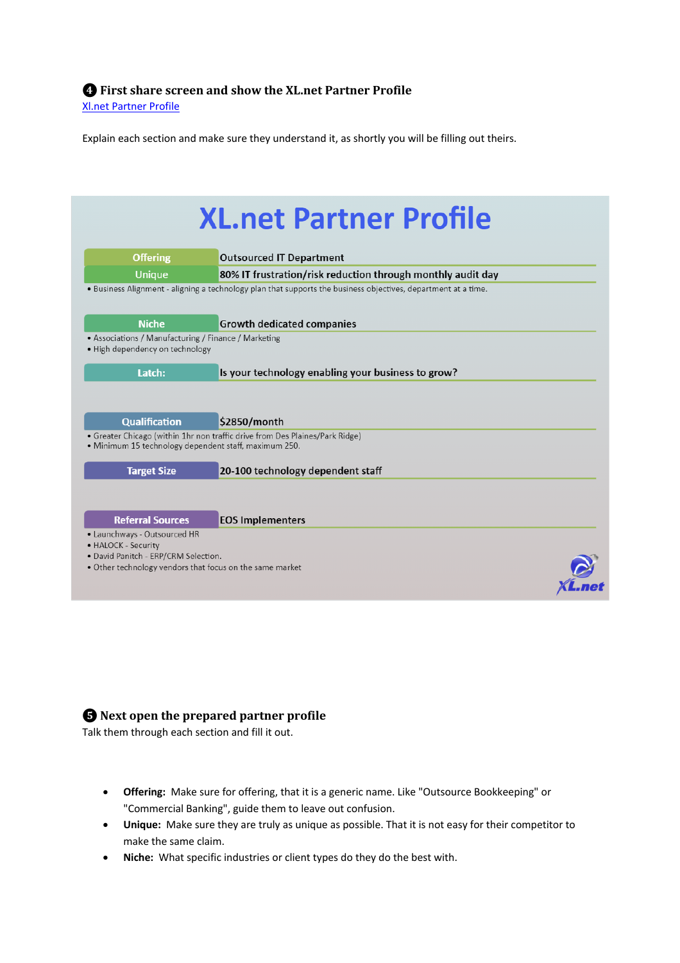Explain each section and make sure they understand it, as shortly you will be filling out theirs.

| <b>Offering</b>                                                                         | <b>Outsourced IT Department</b>                                                                                                       |
|-----------------------------------------------------------------------------------------|---------------------------------------------------------------------------------------------------------------------------------------|
| <b>Unique</b>                                                                           | 80% IT frustration/risk reduction through monthly audit day                                                                           |
|                                                                                         | . Business Alignment - aligning a technology plan that supports the business objectives, department at a time.                        |
| <b>Niche</b>                                                                            | <b>Growth dedicated companies</b>                                                                                                     |
| • Associations / Manufacturing / Finance / Marketing<br>· High dependency on technology |                                                                                                                                       |
| Latch:                                                                                  | Is your technology enabling your business to grow?                                                                                    |
|                                                                                         |                                                                                                                                       |
|                                                                                         |                                                                                                                                       |
|                                                                                         |                                                                                                                                       |
| <b>Qualification</b>                                                                    | \$2850/month                                                                                                                          |
|                                                                                         | • Greater Chicago (within 1hr non traffic drive from Des Plaines/Park Ridge)<br>· Minimum 15 technology dependent staff, maximum 250. |
|                                                                                         |                                                                                                                                       |
| <b>Target Size</b>                                                                      | 20-100 technology dependent staff                                                                                                     |
|                                                                                         |                                                                                                                                       |
| <b>Referral Sources</b>                                                                 | <b>EOS Implementers</b>                                                                                                               |
|                                                                                         |                                                                                                                                       |

# $\bigoplus$  Next open the prepared partner profile

Talk them through each section and fill it out.

- **Offering:** Make sure for offering, that it is a generic name. Like "Outsource Bookkeeping" or "Commercial Banking", guide them to leave out confusion.
- **Unique:** Make sure they are truly as unique as possible. That it is not easy for their competitor to make the same claim.
- **Niche:** What specific industries or client types do they do the best with.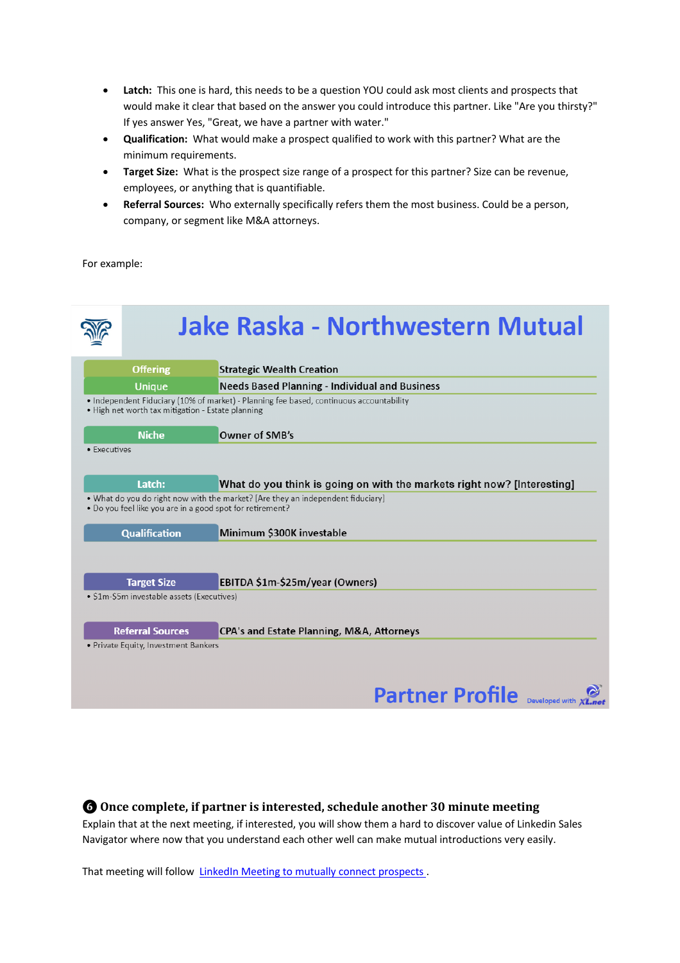- **Latch:** This one is hard, this needs to be a question YOU could ask most clients and prospects that would make it clear that based on the answer you could introduce this partner. Like "Are you thirsty?" If yes answer Yes, "Great, we have a partner with water."
- **Qualification:** What would make a prospect qualified to work with this partner? What are the minimum requirements.
- **Target Size:** What is the prospect size range of a prospect for this partner? Size can be revenue, employees, or anything that is quantifiable.
- **Referral Sources:** Who externally specifically refers them the most business. Could be a person, company, or segment like M&A attorneys.

For example:

|              | <b>Offering</b>                                   | <b>Strategic Wealth Creation</b>                                                                                                             |
|--------------|---------------------------------------------------|----------------------------------------------------------------------------------------------------------------------------------------------|
|              | <b>Unique</b>                                     | <b>Needs Based Planning - Individual and Business</b>                                                                                        |
|              | . High net worth tax mitigation - Estate planning | • Independent Fiduciary (10% of market) - Planning fee based, continuous accountability                                                      |
|              |                                                   |                                                                                                                                              |
| • Executives | <b>Niche</b>                                      | Owner of SMB's                                                                                                                               |
|              |                                                   |                                                                                                                                              |
|              |                                                   |                                                                                                                                              |
|              |                                                   |                                                                                                                                              |
|              | Latch:                                            |                                                                                                                                              |
|              |                                                   | What do you think is going on with the markets right now? [Interesting]                                                                      |
|              |                                                   | • What do you do right now with the market? [Are they an independent fiduciary]<br>• Do you feel like you are in a good spot for retirement? |
|              |                                                   |                                                                                                                                              |
|              | <b>Qualification</b>                              | Minimum \$300K investable                                                                                                                    |
|              |                                                   |                                                                                                                                              |
|              |                                                   |                                                                                                                                              |
|              | <b>Target Size</b>                                | EBITDA \$1m-\$25m/year (Owners)                                                                                                              |
|              | · \$1m-\$5m investable assets (Executives)        |                                                                                                                                              |
|              |                                                   |                                                                                                                                              |
|              | <b>Referral Sources</b>                           | CPA's and Estate Planning, M&A, Attorneys                                                                                                    |

### $\odot$  Once complete, if partner is interested, schedule another 30 minute meeting

Explain that at the next meeting, if interested, you will show them a hard to discover value of Linkedin Sales Navigator where now that you understand each other well can make mutual introductions very easily.

That meeting will follow LinkedIn Meeting to mutually connect prospects.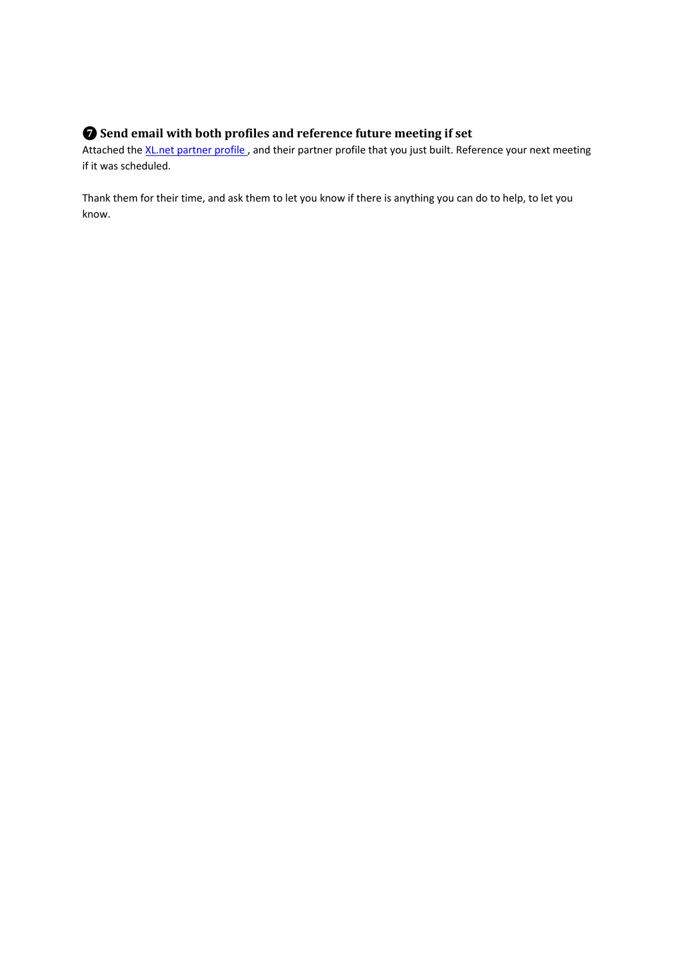# $\bullet$  Send email with both profiles and reference future meeting if set

Attached the XL.net partner profile, and their partner profile that you just built. Reference your next meeting if it was scheduled.

Thank them for their time, and ask them to let you know if there is anything you can do to help, to let you know.